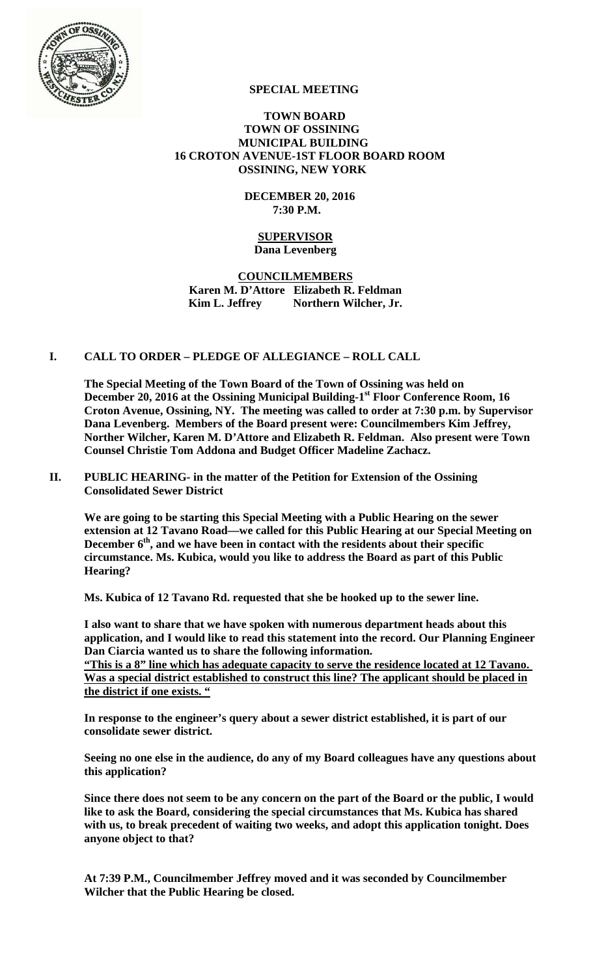

# **SPECIAL MEETING**

## **TOWN BOARD TOWN OF OSSINING MUNICIPAL BUILDING 16 CROTON AVENUE-1ST FLOOR BOARD ROOM OSSINING, NEW YORK**

## **DECEMBER 20, 2016 7:30 P.M.**

## **SUPERVISOR Dana Levenberg**

# **COUNCILMEMBERS Karen M. D'Attore Elizabeth R. Feldman**  Kim L. Jeffrey Northern Wilcher, Jr.

# **I. CALL TO ORDER – PLEDGE OF ALLEGIANCE – ROLL CALL**

**The Special Meeting of the Town Board of the Town of Ossining was held on**  December 20, 2016 at the Ossining Municipal Building-1<sup>st</sup> Floor Conference Room, 16 **Croton Avenue, Ossining, NY. The meeting was called to order at 7:30 p.m. by Supervisor Dana Levenberg. Members of the Board present were: Councilmembers Kim Jeffrey, Norther Wilcher, Karen M. D'Attore and Elizabeth R. Feldman. Also present were Town Counsel Christie Tom Addona and Budget Officer Madeline Zachacz.** 

#### **II. PUBLIC HEARING- in the matter of the Petition for Extension of the Ossining Consolidated Sewer District**

**We are going to be starting this Special Meeting with a Public Hearing on the sewer extension at 12 Tavano Road—we called for this Public Hearing at our Special Meeting on**  December 6<sup>th</sup>, and we have been in contact with the residents about their specific **circumstance. Ms. Kubica, would you like to address the Board as part of this Public Hearing?** 

**Ms. Kubica of 12 Tavano Rd. requested that she be hooked up to the sewer line.** 

**I also want to share that we have spoken with numerous department heads about this application, and I would like to read this statement into the record. Our Planning Engineer Dan Ciarcia wanted us to share the following information.** 

**"This is a 8" line which has adequate capacity to serve the residence located at 12 Tavano. Was a special district established to construct this line? The applicant should be placed in the district if one exists. "**

**In response to the engineer's query about a sewer district established, it is part of our consolidate sewer district.** 

**Seeing no one else in the audience, do any of my Board colleagues have any questions about this application?** 

**Since there does not seem to be any concern on the part of the Board or the public, I would like to ask the Board, considering the special circumstances that Ms. Kubica has shared with us, to break precedent of waiting two weeks, and adopt this application tonight. Does anyone object to that?** 

**At 7:39 P.M., Councilmember Jeffrey moved and it was seconded by Councilmember Wilcher that the Public Hearing be closed.**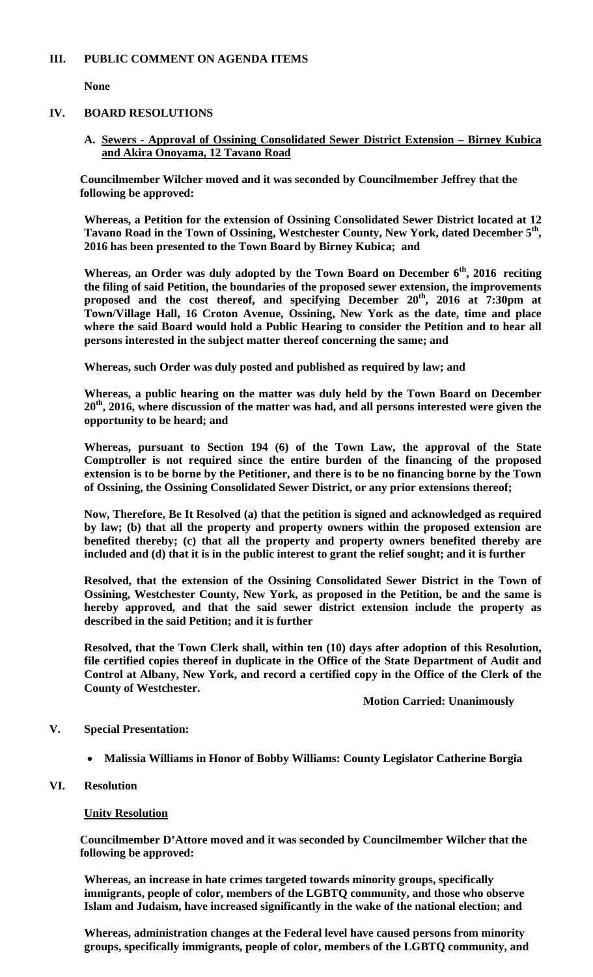# **III. PUBLIC COMMENT ON AGENDA ITEMS**

**None** 

# **IV. BOARD RESOLUTIONS**

**A. Sewers - Approval of Ossining Consolidated Sewer District Extension – Birney Kubica and Akira Onoyama, 12 Tavano Road**

**Councilmember Wilcher moved and it was seconded by Councilmember Jeffrey that the following be approved:** 

**Whereas, a Petition for the extension of Ossining Consolidated Sewer District located at 12 Tavano Road in the Town of Ossining, Westchester County, New York, dated December 5th, 2016 has been presented to the Town Board by Birney Kubica; and** 

**Whereas, an Order was duly adopted by the Town Board on December 6th, 2016 reciting the filing of said Petition, the boundaries of the proposed sewer extension, the improvements**  proposed and the cost thereof, and specifying December 20<sup>th</sup>, 2016 at 7:30pm at **Town/Village Hall, 16 Croton Avenue, Ossining, New York as the date, time and place where the said Board would hold a Public Hearing to consider the Petition and to hear all persons interested in the subject matter thereof concerning the same; and** 

**Whereas, such Order was duly posted and published as required by law; and** 

**Whereas, a public hearing on the matter was duly held by the Town Board on December 20th, 2016, where discussion of the matter was had, and all persons interested were given the opportunity to be heard; and** 

**Whereas, pursuant to Section 194 (6) of the Town Law, the approval of the State Comptroller is not required since the entire burden of the financing of the proposed extension is to be borne by the Petitioner, and there is to be no financing borne by the Town of Ossining, the Ossining Consolidated Sewer District, or any prior extensions thereof;** 

**Now, Therefore, Be It Resolved (a) that the petition is signed and acknowledged as required by law; (b) that all the property and property owners within the proposed extension are benefited thereby; (c) that all the property and property owners benefited thereby are included and (d) that it is in the public interest to grant the relief sought; and it is further** 

**Resolved, that the extension of the Ossining Consolidated Sewer District in the Town of Ossining, Westchester County, New York, as proposed in the Petition, be and the same is hereby approved, and that the said sewer district extension include the property as described in the said Petition; and it is further** 

**Resolved, that the Town Clerk shall, within ten (10) days after adoption of this Resolution, file certified copies thereof in duplicate in the Office of the State Department of Audit and Control at Albany, New York, and record a certified copy in the Office of the Clerk of the County of Westchester.**

**Motion Carried: Unanimously** 

# **V. Special Presentation:**

- **Malissia Williams in Honor of Bobby Williams: County Legislator Catherine Borgia**
- **VI. Resolution**

## **Unity Resolution**

**Councilmember D'Attore moved and it was seconded by Councilmember Wilcher that the following be approved:** 

**Whereas, an increase in hate crimes targeted towards minority groups, specifically immigrants, people of color, members of the LGBTQ community, and those who observe Islam and Judaism, have increased significantly in the wake of the national election; and** 

**Whereas, administration changes at the Federal level have caused persons from minority groups, specifically immigrants, people of color, members of the LGBTQ community, and**